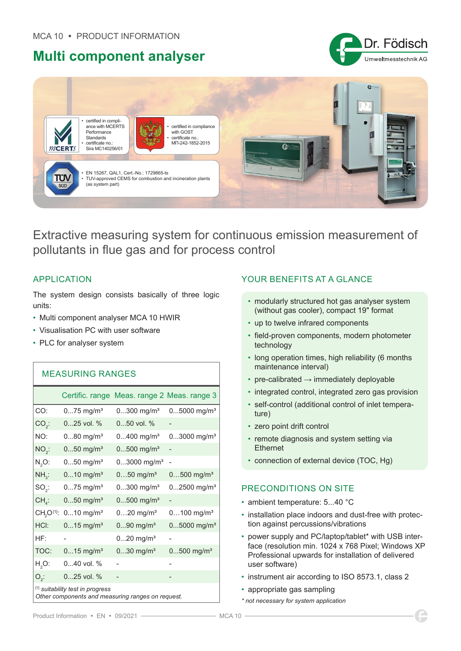## **Multi component analyser**





Extractive measuring system for continuous emission measurement of pollutants in flue gas and for process control

## APPLICATION

The system design consists basically of three logic units:

- Multi component analyser MCA 10 HWIR
- Visualisation PC with user software
- PLC for analyser system

| <b>MEASURING RANGES</b>                                                               |                         |                                             |                           |  |
|---------------------------------------------------------------------------------------|-------------------------|---------------------------------------------|---------------------------|--|
|                                                                                       |                         | Certific. range Meas. range 2 Meas. range 3 |                           |  |
| CO:                                                                                   | $075$ mg/m <sup>3</sup> | $0300$ mg/m <sup>3</sup>                    | $05000$ mg/m <sup>3</sup> |  |
| $CO2$ :                                                                               | 025 vol. %              | $050$ vol. %                                |                           |  |
| NO:                                                                                   | $080$ mg/m <sup>3</sup> | $0400$ mg/m <sup>3</sup>                    | $03000$ mg/m <sup>3</sup> |  |
| $NO2$ :                                                                               | $050$ mg/m <sup>3</sup> | $0500$ mg/m <sup>3</sup>                    |                           |  |
| $N2O$ :                                                                               | $050$ mg/m <sup>3</sup> | $03000$ mg/m <sup>3</sup>                   |                           |  |
| $NH_{3}$ :                                                                            | $010$ mg/m <sup>3</sup> | $050$ mg/m <sup>3</sup>                     | $0500$ mg/m <sup>3</sup>  |  |
| $SO2$ :                                                                               | $075$ mg/m <sup>3</sup> | $0300$ mg/m <sup>3</sup>                    | $02500$ mg/m <sup>3</sup> |  |
| $CH_{4}$ :                                                                            | $050$ mg/m <sup>3</sup> | $0500$ mg/m <sup>3</sup>                    |                           |  |
| CH <sub>2</sub> O <sup>[1]</sup> :                                                    | $010$ mg/m <sup>3</sup> | $020$ mg/m <sup>3</sup>                     | $0100$ mg/m <sup>3</sup>  |  |
| HCI:                                                                                  | $015$ mg/m <sup>3</sup> | $090$ mg/m <sup>3</sup>                     | $05000$ mg/m <sup>3</sup> |  |
| HF:                                                                                   |                         | $020$ mg/m <sup>3</sup>                     |                           |  |
| TOC:                                                                                  | $015$ mg/m <sup>3</sup> | $030$ mg/m <sup>3</sup>                     | $0500$ mg/m <sup>3</sup>  |  |
| $H2O$ :                                                                               | $040$ vol. %            |                                             |                           |  |
| $O_{2}$ :                                                                             | 025 vol. %              |                                             |                           |  |
| [1] suitability test in progress<br>Other components and measuring ranges on request. |                         |                                             |                           |  |

## YOUR BENEFITS AT A GLANCE

- modularly structured hot gas analyser system (without gas cooler), compact 19" format
- up to twelve infrared components
- field-proven components, modern photometer technology
- long operation times, high reliability (6 months maintenance interval)
- pre-calibrated → immediately deployable
- integrated control, integrated zero gas provision
- self-control (additional control of inlet temperature)
- zero point drift control
- remote diagnosis and system setting via **Ethernet**
- connection of external device (TOC, Hg)

## PRECONDITIONS ON SITE

- ambient temperature: 5...40 °C
- installation place indoors and dust-free with protection against percussions/vibrations
- power supply and PC/laptop/tablet\* with USB interface (resolution min. 1024 x 768 Pixel; Windows XP Professional upwards for installation of delivered user software)
- instrument air according to ISO 8573.1, class 2
- appropriate gas sampling
- *\* not necessary for system application*